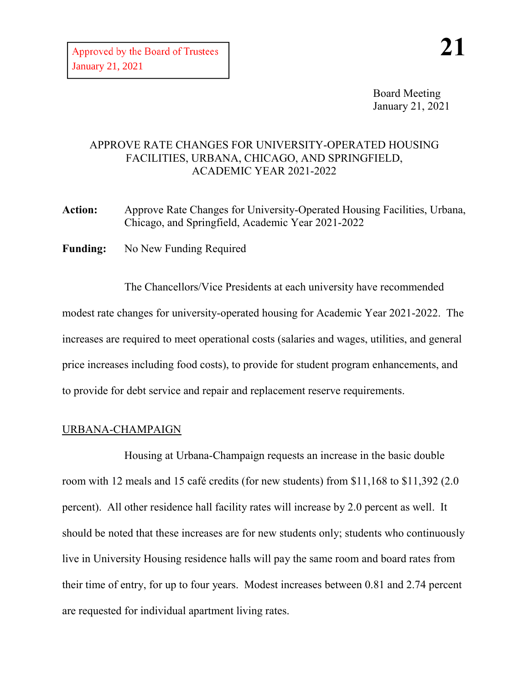Board Meeting January 21, 2021

## APPROVE RATE CHANGES FOR UNIVERSITY-OPERATED HOUSING FACILITIES, URBANA, CHICAGO, AND SPRINGFIELD, ACADEMIC YEAR 2021-2022

**Action:** Approve Rate Changes for University-Operated Housing Facilities, Urbana, Chicago, and Springfield, Academic Year 2021-2022

**Funding:** No New Funding Required

The Chancellors/Vice Presidents at each university have recommended modest rate changes for university-operated housing for Academic Year 2021-2022. The increases are required to meet operational costs (salaries and wages, utilities, and general price increases including food costs), to provide for student program enhancements, and to provide for debt service and repair and replacement reserve requirements.

### URBANA-CHAMPAIGN

Housing at Urbana-Champaign requests an increase in the basic double room with 12 meals and 15 café credits (for new students) from \$11,168 to \$11,392 (2.0 percent). All other residence hall facility rates will increase by 2.0 percent as well. It should be noted that these increases are for new students only; students who continuously live in University Housing residence halls will pay the same room and board rates from their time of entry, for up to four years. Modest increases between 0.81 and 2.74 percent are requested for individual apartment living rates.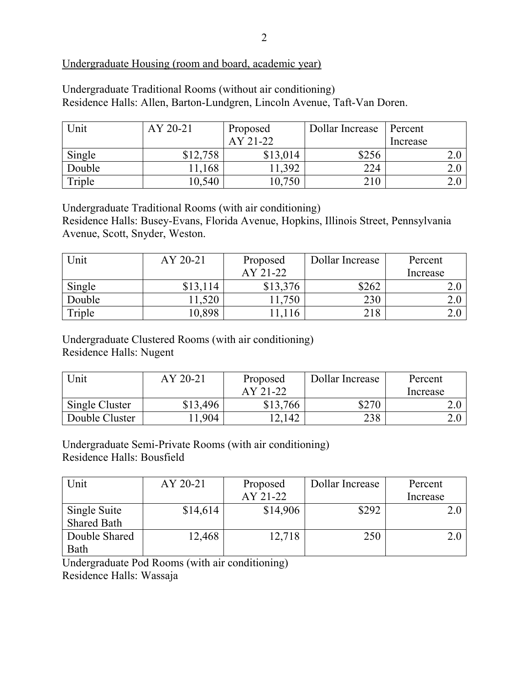# Undergraduate Housing (room and board, academic year)

| Undergraduate Traditional Rooms (without air conditioning)               |
|--------------------------------------------------------------------------|
| Residence Halls: Allen, Barton-Lundgren, Lincoln Avenue, Taft-Van Doren. |

| Unit   | AY 20-21 | Proposed | Dollar Increase | Percent  |
|--------|----------|----------|-----------------|----------|
|        |          | AY 21-22 |                 | Increase |
| Single | \$12,758 | \$13,014 | \$256           | ∠.∪      |
| Double | 11,168   | 1,392    | 224             | ∠.∪      |
| Triple | 10,540   | 0,750    | 210             | 2.U      |

Undergraduate Traditional Rooms (with air conditioning)

Residence Halls: Busey-Evans, Florida Avenue, Hopkins, Illinois Street, Pennsylvania Avenue, Scott, Snyder, Weston.

| Unit   | AY 20-21 | Proposed | Dollar Increase | Percent  |
|--------|----------|----------|-----------------|----------|
|        |          | AY 21-22 |                 | Increase |
| Single | \$13,114 | \$13,376 | \$262           |          |
| Double | 11,520   | 1,750    | 230             |          |
| Triple | 10,898   | 1,116    | 218             | ∠.∪      |

Undergraduate Clustered Rooms (with air conditioning) Residence Halls: Nugent

| Unit           | AY 20-21 | Proposed | Dollar Increase | Percent  |
|----------------|----------|----------|-----------------|----------|
|                |          | AY 21-22 |                 | Increase |
| Single Cluster | \$13,496 | \$13,766 | \$270           |          |
| Double Cluster | .904     | 2,142    | 238             |          |

Undergraduate Semi-Private Rooms (with air conditioning) Residence Halls: Bousfield

| Unit               | AY 20-21 | Proposed | Dollar Increase | Percent  |
|--------------------|----------|----------|-----------------|----------|
|                    |          | AY 21-22 |                 | Increase |
| Single Suite       | \$14,614 | \$14,906 | \$292           | $2.0\,$  |
| <b>Shared Bath</b> |          |          |                 |          |
| Double Shared      | 12,468   | 12,718   | 250             | 2.0      |
| Bath               |          |          |                 |          |

Undergraduate Pod Rooms (with air conditioning)

Residence Halls: Wassaja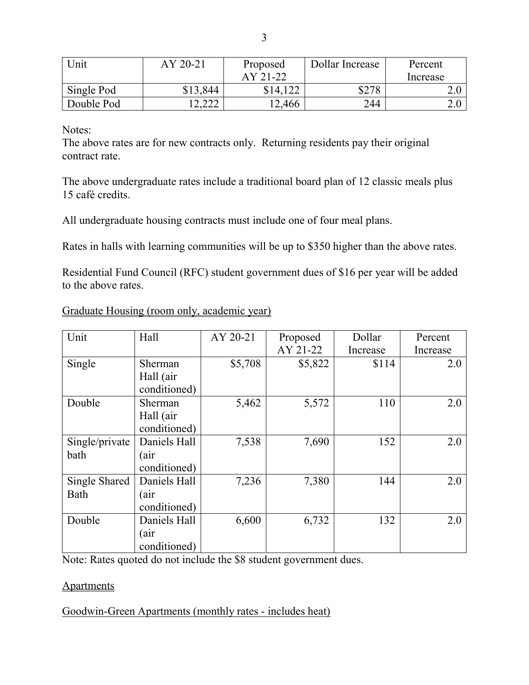| Unit       | AY 20-21 | Proposed | Dollar Increase | Percent  |
|------------|----------|----------|-----------------|----------|
|            |          | AY 21-22 |                 | Increase |
| Single Pod | \$13,844 | \$14,122 | \$278           |          |
| Double Pod | າາາ      | 2,466    | 244             | ∠.∪      |

Notes:

The above rates are for new contracts only. Returning residents pay their original contract rate.

The above undergraduate rates include a traditional board plan of 12 classic meals plus 15 café credits.

All undergraduate housing contracts must include one of four meal plans.

Rates in halls with learning communities will be up to \$350 higher than the above rates.

Residential Fund Council (RFC) student government dues of \$16 per year will be added to the above rates.

| Unit           | Hall         | AY 20-21 | Proposed | Dollar   | Percent  |
|----------------|--------------|----------|----------|----------|----------|
|                |              |          | AY 21-22 | Increase | Increase |
| Single         | Sherman      | \$5,708  | \$5,822  | \$114    | 2.0      |
|                | Hall (air    |          |          |          |          |
|                | conditioned) |          |          |          |          |
| Double         | Sherman      | 5,462    | 5,572    | 110      | 2.0      |
|                | Hall (air    |          |          |          |          |
|                | conditioned) |          |          |          |          |
| Single/private | Daniels Hall | 7,538    | 7,690    | 152      | 2.0      |
| bath           | (air         |          |          |          |          |
|                | conditioned) |          |          |          |          |
| Single Shared  | Daniels Hall | 7,236    | 7,380    | 144      | 2.0      |
| Bath           | (air         |          |          |          |          |
|                | conditioned) |          |          |          |          |
| Double         | Daniels Hall | 6,600    | 6,732    | 132      | 2.0      |
|                | (air         |          |          |          |          |
|                | conditioned) |          |          |          |          |

# Graduate Housing (room only, academic year)

Note: Rates quoted do not include the \$8 student government dues.

### **Apartments**

Goodwin-Green Apartments (monthly rates - includes heat)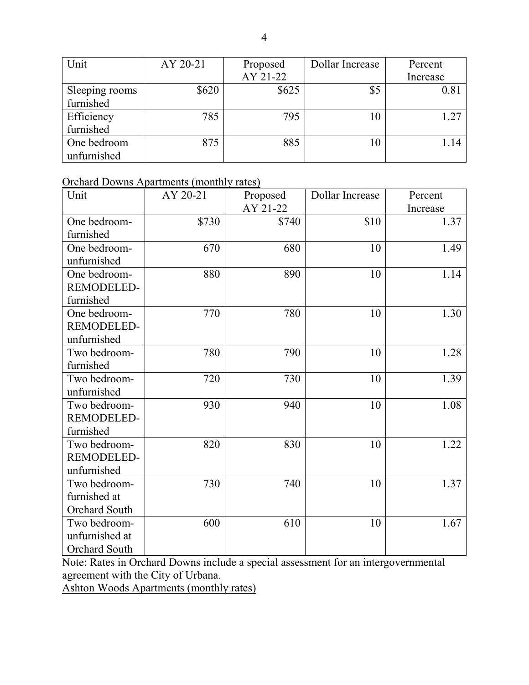| Unit           | AY 20-21 | Proposed | Dollar Increase | Percent  |
|----------------|----------|----------|-----------------|----------|
|                |          | AY 21-22 |                 | Increase |
| Sleeping rooms | \$620    | \$625    | \$5             | 0.81     |
| furnished      |          |          |                 |          |
| Efficiency     | 785      | 795      | 10              | 1.27     |
| furnished      |          |          |                 |          |
| One bedroom    | 875      | 885      | 10              | 1.14     |
| unfurnished    |          |          |                 |          |

## Orchard Downs Apartments (monthly rates)

| Unit              | AY 20-21 | Proposed | Dollar Increase | Percent  |
|-------------------|----------|----------|-----------------|----------|
|                   |          | AY 21-22 |                 | Increase |
| One bedroom-      | \$730    | \$740    | \$10            | 1.37     |
| furnished         |          |          |                 |          |
| One bedroom-      | 670      | 680      | 10              | 1.49     |
| unfurnished       |          |          |                 |          |
| One bedroom-      | 880      | 890      | 10              | 1.14     |
| REMODELED-        |          |          |                 |          |
| furnished         |          |          |                 |          |
| One bedroom-      | 770      | 780      | 10              | 1.30     |
| REMODELED-        |          |          |                 |          |
| unfurnished       |          |          |                 |          |
| Two bedroom-      | 780      | 790      | 10              | 1.28     |
| furnished         |          |          |                 |          |
| Two bedroom-      | 720      | 730      | 10              | 1.39     |
| unfurnished       |          |          |                 |          |
| Two bedroom-      | 930      | 940      | 10              | 1.08     |
| REMODELED-        |          |          |                 |          |
| furnished         |          |          |                 |          |
| Two bedroom-      | 820      | 830      | 10              | 1.22     |
| <b>REMODELED-</b> |          |          |                 |          |
| unfurnished       |          |          |                 |          |
| Two bedroom-      | 730      | 740      | 10              | 1.37     |
| furnished at      |          |          |                 |          |
| Orchard South     |          |          |                 |          |
| Two bedroom-      | 600      | 610      | 10              | 1.67     |
| unfurnished at    |          |          |                 |          |
| Orchard South     |          |          |                 |          |

Note: Rates in Orchard Downs include a special assessment for an intergovernmental agreement with the City of Urbana.

Ashton Woods Apartments (monthly rates)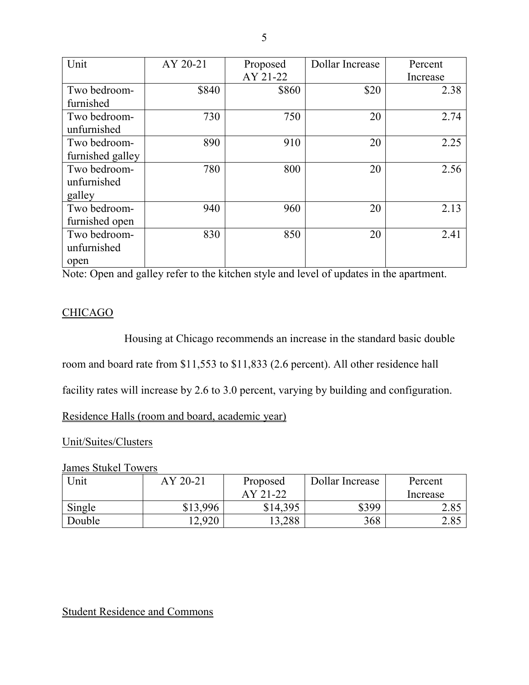| Unit             | AY 20-21 | Proposed | Dollar Increase | Percent  |
|------------------|----------|----------|-----------------|----------|
|                  |          | AY 21-22 |                 | Increase |
| Two bedroom-     | \$840    | \$860    | \$20            | 2.38     |
| furnished        |          |          |                 |          |
| Two bedroom-     | 730      | 750      | 20              | 2.74     |
| unfurnished      |          |          |                 |          |
| Two bedroom-     | 890      | 910      | 20              | 2.25     |
| furnished galley |          |          |                 |          |
| Two bedroom-     | 780      | 800      | 20              | 2.56     |
| unfurnished      |          |          |                 |          |
| galley           |          |          |                 |          |
| Two bedroom-     | 940      | 960      | 20              | 2.13     |
| furnished open   |          |          |                 |          |
| Two bedroom-     | 830      | 850      | 20              | 2.41     |
| unfurnished      |          |          |                 |          |
| open             |          |          |                 |          |

Note: Open and galley refer to the kitchen style and level of updates in the apartment.

## **CHICAGO**

Housing at Chicago recommends an increase in the standard basic double room and board rate from \$11,553 to \$11,833 (2.6 percent). All other residence hall

facility rates will increase by 2.6 to 3.0 percent, varying by building and configuration.

Residence Halls (room and board, academic year)

### Unit/Suites/Clusters

### James Stukel Towers

| <b>Jnit</b> | AY 20-21 | Proposed | Dollar Increase | Percent  |
|-------------|----------|----------|-----------------|----------|
|             |          | AY 21-22 |                 | Increase |
| Single      | \$13,996 | \$14,395 | \$399           | 2.85     |
| Double      | 12,920   | 3,288    | 368             | 2.85     |

# Student Residence and Commons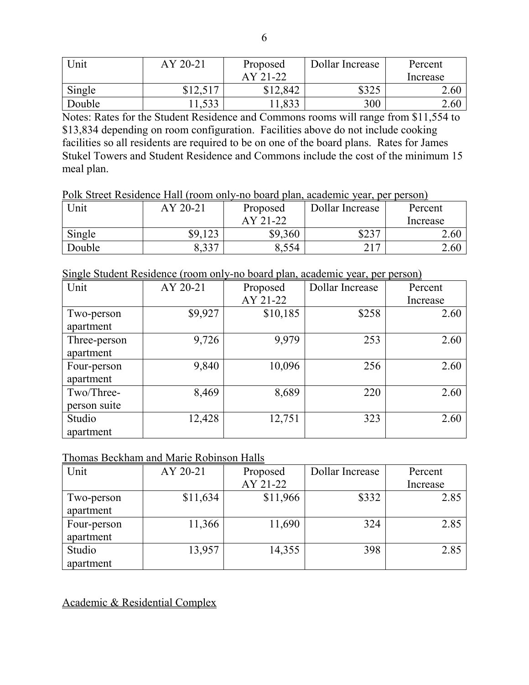| Unit   | AY 20-21 | Proposed | Dollar Increase | Percent  |
|--------|----------|----------|-----------------|----------|
|        |          | AY 21-22 |                 | Increase |
| Single | \$12,517 | \$12,842 | ぐつつく            | 2.60     |
| Double | 1,533    | ,833     | 300             | 2.60     |

Notes: Rates for the Student Residence and Commons rooms will range from \$11,554 to \$13,834 depending on room configuration. Facilities above do not include cooking facilities so all residents are required to be on one of the board plans. Rates for James Stukel Towers and Student Residence and Commons include the cost of the minimum 15 meal plan.

Polk Street Residence Hall (room only-no board plan, academic year, per person)

| Unit   | AY 20-21             | Proposed | Dollar Increase    | Percent  |
|--------|----------------------|----------|--------------------|----------|
|        |                      | AY 21-22 |                    | Increase |
| Single | 123<br>\$9.          | \$9,360  | <b>¢つつつ</b><br>ر∠⊕ | 2.60     |
| Double | $\Omega$ 227<br>ر ر. | 8,554    | າ 1 7<br>້⊥        | 2.60     |

Single Student Residence (room only-no board plan, academic year, per person)

| Unit         | AY 20-21 | Proposed | Dollar Increase | Percent  |
|--------------|----------|----------|-----------------|----------|
|              |          | AY 21-22 |                 | Increase |
| Two-person   | \$9,927  | \$10,185 | \$258           | 2.60     |
| apartment    |          |          |                 |          |
| Three-person | 9,726    | 9,979    | 253             | 2.60     |
| apartment    |          |          |                 |          |
| Four-person  | 9,840    | 10,096   | 256             | 2.60     |
| apartment    |          |          |                 |          |
| Two/Three-   | 8,469    | 8,689    | 220             | 2.60     |
| person suite |          |          |                 |          |
| Studio       | 12,428   | 12,751   | 323             | 2.60     |
| apartment    |          |          |                 |          |

#### Thomas Beckham and Marie Robinson Halls

| Unit        | AY 20-21 | Proposed | Dollar Increase | Percent  |
|-------------|----------|----------|-----------------|----------|
|             |          | AY 21-22 |                 | Increase |
| Two-person  | \$11,634 | \$11,966 | \$332           | 2.85     |
| apartment   |          |          |                 |          |
| Four-person | 11,366   | 11,690   | 324             | 2.85     |
| apartment   |          |          |                 |          |
| Studio      | 13,957   | 14,355   | 398             | 2.85     |
| apartment   |          |          |                 |          |

Academic & Residential Complex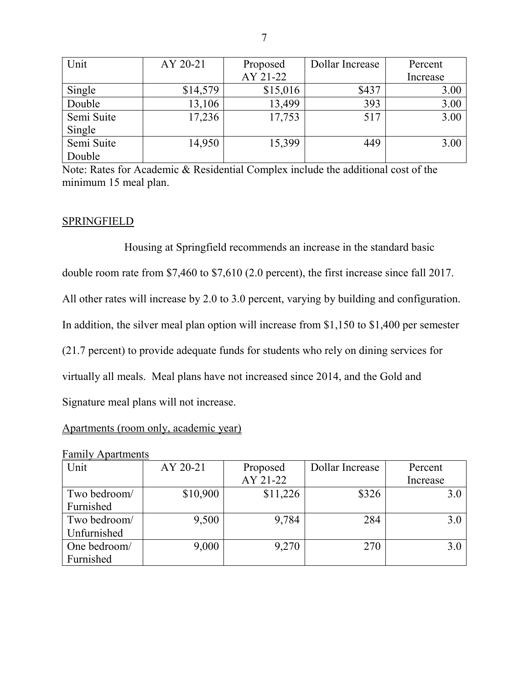| Unit       | AY 20-21 | Proposed | Dollar Increase | Percent  |
|------------|----------|----------|-----------------|----------|
|            |          | AY 21-22 |                 | Increase |
| Single     | \$14,579 | \$15,016 | \$437           | 3.00     |
| Double     | 13,106   | 13,499   | 393             | 3.00     |
| Semi Suite | 17,236   | 17,753   | 517             | 3.00     |
| Single     |          |          |                 |          |
| Semi Suite | 14,950   | 15,399   | 449             | 3.00     |
| Double     |          |          |                 |          |

Note: Rates for Academic & Residential Complex include the additional cost of the minimum 15 meal plan.

## **SPRINGFIELD**

Housing at Springfield recommends an increase in the standard basic double room rate from \$7,460 to \$7,610 (2.0 percent), the first increase since fall 2017. All other rates will increase by 2.0 to 3.0 percent, varying by building and configuration. In addition, the silver meal plan option will increase from \$1,150 to \$1,400 per semester (21.7 percent) to provide adequate funds for students who rely on dining services for virtually all meals. Meal plans have not increased since 2014, and the Gold and Signature meal plans will not increase.

### Apartments (room only, academic year)

| Unit         | AY 20-21 | Proposed | Dollar Increase | Percent  |
|--------------|----------|----------|-----------------|----------|
|              |          | AY 21-22 |                 | Increase |
| Two bedroom/ | \$10,900 | \$11,226 | \$326           | 3.0      |
| Furnished    |          |          |                 |          |
| Two bedroom/ | 9,500    | 9,784    | 284             | 3.0      |
| Unfurnished  |          |          |                 |          |
| One bedroom/ | 9,000    | 9,270    | 270             | 3.0      |
| Furnished    |          |          |                 |          |

#### Family Apartments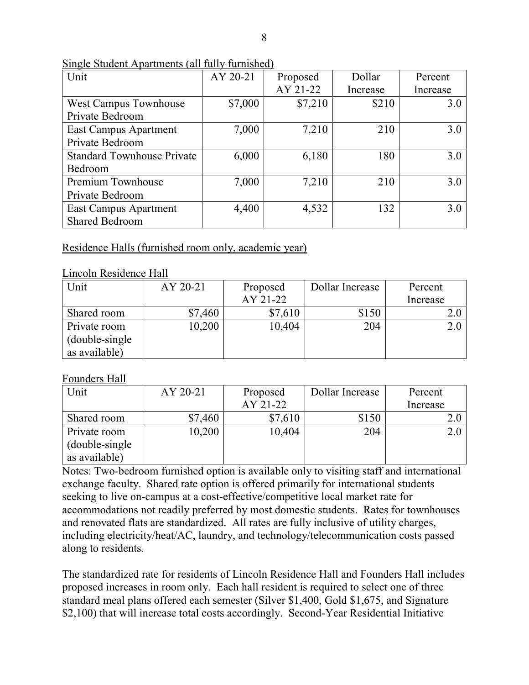| Unit                              | AY 20-21 | Proposed | Dollar   | Percent  |
|-----------------------------------|----------|----------|----------|----------|
|                                   |          | AY 21-22 | Increase | Increase |
| <b>West Campus Townhouse</b>      | \$7,000  | \$7,210  | \$210    | 3.0      |
| Private Bedroom                   |          |          |          |          |
| East Campus Apartment             | 7,000    | 7,210    | 210      | 3.0      |
| Private Bedroom                   |          |          |          |          |
| <b>Standard Townhouse Private</b> | 6,000    | 6,180    | 180      | 3.0      |
| Bedroom                           |          |          |          |          |
| Premium Townhouse                 | 7,000    | 7,210    | 210      | 3.0      |
| Private Bedroom                   |          |          |          |          |
| <b>East Campus Apartment</b>      | 4,400    | 4,532    | 132      | 3.0      |
| Shared Bedroom                    |          |          |          |          |

Single Student Apartments (all fully furnished)

### Residence Halls (furnished room only, academic year)

#### Lincoln Residence Hall

| Unit            | AY 20-21 | Proposed | Dollar Increase | Percent  |
|-----------------|----------|----------|-----------------|----------|
|                 |          | AY 21-22 |                 | Increase |
| Shared room     | \$7,460  | \$7,610  | \$150           |          |
| Private room    | 10,200   | 10,404   | 204             |          |
| (double-single) |          |          |                 |          |
| as available)   |          |          |                 |          |

### Founders Hall

| Unit            | AY 20-21 | Proposed | Dollar Increase | Percent  |
|-----------------|----------|----------|-----------------|----------|
|                 |          | AY 21-22 |                 | Increase |
| Shared room     | \$7,460  | \$7,610  | \$150           |          |
| Private room    | 10,200   | 10,404   | 204             |          |
| (double-single) |          |          |                 |          |
| as available)   |          |          |                 |          |

Notes: Two-bedroom furnished option is available only to visiting staff and international exchange faculty. Shared rate option is offered primarily for international students seeking to live on-campus at a cost-effective/competitive local market rate for accommodations not readily preferred by most domestic students. Rates for townhouses and renovated flats are standardized. All rates are fully inclusive of utility charges, including electricity/heat/AC, laundry, and technology/telecommunication costs passed along to residents.

The standardized rate for residents of Lincoln Residence Hall and Founders Hall includes proposed increases in room only. Each hall resident is required to select one of three standard meal plans offered each semester (Silver \$1,400, Gold \$1,675, and Signature \$2,100) that will increase total costs accordingly. Second-Year Residential Initiative